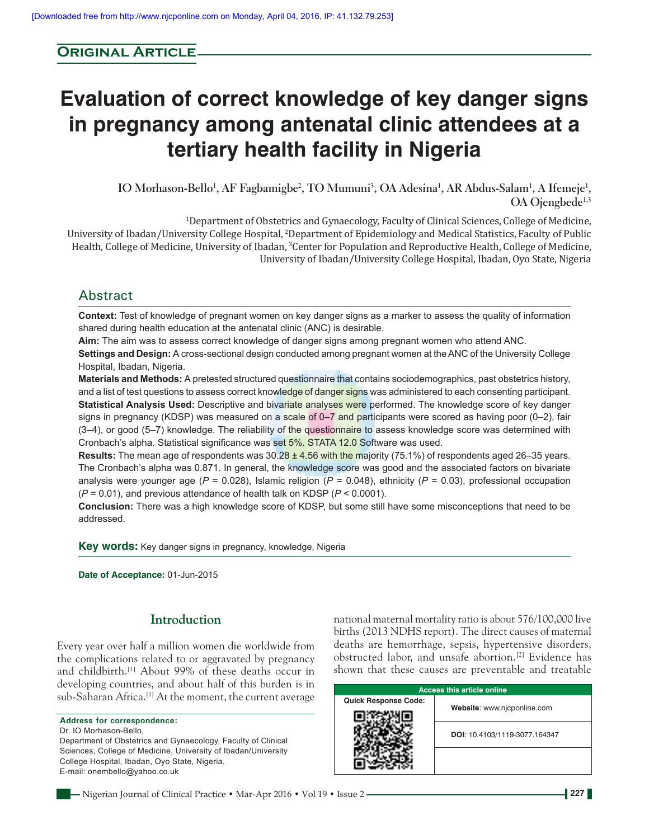# **Original Article**

# **Evaluation of correct knowledge of key danger signs in pregnancy among antenatal clinic attendees at a tertiary health facility in Nigeria**

**IO Morhason‑Bello1 , AF Fagbamigbe2 , TO Mumuni3 , OA Adesina1 , AR Abdus‑Salam1 , A Ifemeje1 , OA Ojengbede1,3**

1 Department of Obstetrics and Gynaecology, Faculty of Clinical Sciences, College of Medicine, University of Ibadan/University College Hospital, 2 Department of Epidemiology and Medical Statistics, Faculty of Public Health, College of Medicine, University of Ibadan, 3 Center for Population and Reproductive Health, College of Medicine, University of Ibadan/University College Hospital, Ibadan, Oyo State, Nigeria

# Abstract

**Context:** Test of knowledge of pregnant women on key danger signs as a marker to assess the quality of information shared during health education at the antenatal clinic (ANC) is desirable.

**Aim:** The aim was to assess correct knowledge of danger signs among pregnant women who attend ANC.

**Settings and Design:** A cross-sectional design conducted among pregnant women at the ANC of the University College Hospital, Ibadan, Nigeria.

**Materials and Methods:** A pretested structured questionnaire that contains sociodemographics, past obstetrics history, and a list of test questions to assess correct knowledge of danger signs was administered to each consenting participant. **Statistical Analysis Used:** Descriptive and bivariate analyses were performed. The knowledge score of key danger signs in pregnancy (KDSP) was measured on a scale of 0–7 and participants were scored as having poor (0–2), fair (3-4), or good (5-7) knowledge. The reliability of the questionnaire to assess knowledge score was determined with Cronbach's alpha. Statistical significance was set 5%. STATA 12.0 Software was used.

**Results:** The mean age of respondents was 30.28 ± 4.56 with the majority (75.1%) of respondents aged 26–35 years. The Cronbach's alpha was 0.871. In general, the knowledge score was good and the associated factors on bivariate analysis were younger age (*P* = 0.028), Islamic religion (*P* = 0.048), ethnicity (*P* = 0.03), professional occupation (*P* = 0.01), and previous attendance of health talk on KDSP (*P* < 0.0001).

**Conclusion:** There was a high knowledge score of KDSP, but some still have some misconceptions that need to be addressed.

**Key words:** Key danger signs in pregnancy, knowledge, Nigeria

**Date of Acceptance:** 01-Jun-2015

## **Introduction**

Every year over half a million women die worldwide from the complications related to or aggravated by pregnancy and childbirth.[1] About 99% of these deaths occur in developing countries, and about half of this burden is in sub-Saharan Africa.<sup>[1]</sup> At the moment, the current average

**Address for correspondence:** Dr. IO Morhason-Bello, Department of Obstetrics and Gynaecology, Faculty of Clinical Sciences, College of Medicine, University of Ibadan/University College Hospital, Ibadan, Oyo State, Nigeria. E-mail: onembello@yahoo.co.uk

national maternal mortality ratio is about 576/100,000 live births (2013 NDHS report). The direct causes of maternal deaths are hemorrhage, sepsis, hypertensive disorders, obstructed labor, and unsafe abortion.[2] Evidence has shown that these causes are preventable and treatable

| <b>Access this article online</b> |                               |  |  |  |
|-----------------------------------|-------------------------------|--|--|--|
| <b>Quick Response Code:</b>       | Website: www.njcponline.com   |  |  |  |
|                                   | DOI: 10.4103/1119-3077.164347 |  |  |  |
|                                   |                               |  |  |  |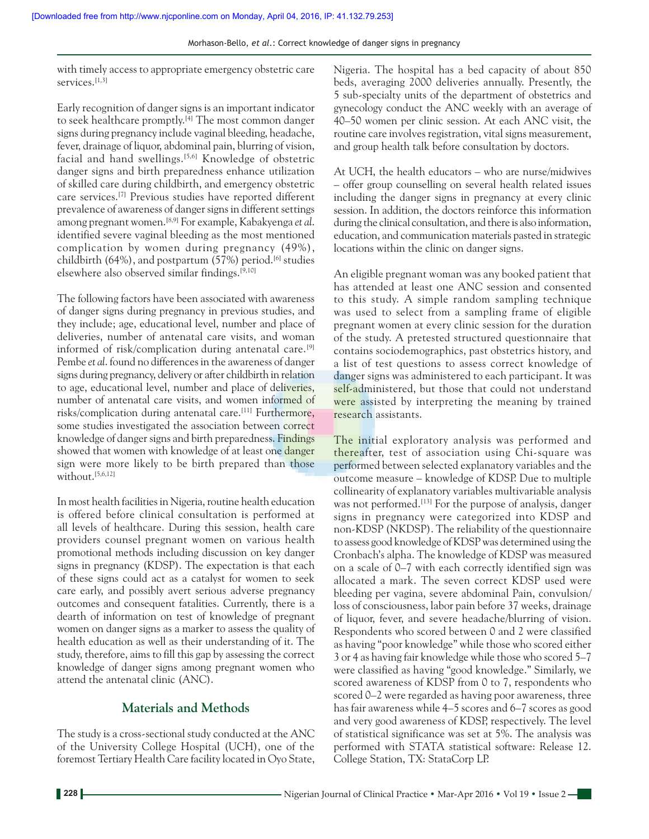with timely access to appropriate emergency obstetric care services.<sup>[1,3]</sup>

Early recognition of danger signs is an important indicator to seek healthcare promptly.[4] The most common danger signs during pregnancy include vaginal bleeding, headache, fever, drainage of liquor, abdominal pain, blurring of vision, facial and hand swellings.<sup>[5,6]</sup> Knowledge of obstetric danger signs and birth preparedness enhance utilization of skilled care during childbirth, and emergency obstetric care services.[7] Previous studies have reported different prevalence of awareness of danger signs in different settings among pregnant women.[8,9] For example, Kabakyenga *et al*. identified severe vaginal bleeding as the most mentioned complication by women during pregnancy (49%), childbirth  $(64\%)$ , and postpartum  $(57\%)$  period.<sup>[6]</sup> studies elsewhere also observed similar findings.[9,10]

The following factors have been associated with awareness of danger signs during pregnancy in previous studies, and they include; age, educational level, number and place of deliveries, number of antenatal care visits, and woman informed of risk/complication during antenatal care.[9] Pembe *et al*. found no differences in the awareness of danger signs during pregnancy, delivery or after childbirth in relation to age, educational level, number and place of deliveries, number of antenatal care visits, and women informed of risks/complication during antenatal care.[11] Furthermore, some studies investigated the association between correct knowledge of danger signs and birth preparedness. Findings showed that women with knowledge of at least one danger sign were more likely to be birth prepared than those without.<sup>[5,6,12]</sup>

In most health facilities in Nigeria, routine health education is offered before clinical consultation is performed at all levels of healthcare. During this session, health care providers counsel pregnant women on various health promotional methods including discussion on key danger signs in pregnancy (KDSP). The expectation is that each of these signs could act as a catalyst for women to seek care early, and possibly avert serious adverse pregnancy outcomes and consequent fatalities. Currently, there is a dearth of information on test of knowledge of pregnant women on danger signs as a marker to assess the quality of health education as well as their understanding of it. The study, therefore, aims to fill this gap by assessing the correct knowledge of danger signs among pregnant women who attend the antenatal clinic (ANC).

## **Materials and Methods**

The study is a cross-sectional study conducted at the ANC of the University College Hospital (UCH), one of the foremost Tertiary Health Care facility located in Oyo State, Nigeria. The hospital has a bed capacity of about 850 beds, averaging 2000 deliveries annually. Presently, the 5 sub‑specialty units of the department of obstetrics and gynecology conduct the ANC weekly with an average of 40–50 women per clinic session. At each ANC visit, the routine care involves registration, vital signs measurement, and group health talk before consultation by doctors.

At UCH, the health educators – who are nurse/midwives – offer group counselling on several health related issues including the danger signs in pregnancy at every clinic session. In addition, the doctors reinforce this information during the clinical consultation, and there is also information, education, and communication materials pasted in strategic locations within the clinic on danger signs.

An eligible pregnant woman was any booked patient that has attended at least one ANC session and consented to this study. A simple random sampling technique was used to select from a sampling frame of eligible pregnant women at every clinic session for the duration of the study. A pretested structured questionnaire that contains sociodemographics, past obstetrics history, and a list of test questions to assess correct knowledge of danger signs was administered to each participant. It was self-administered, but those that could not understand were assisted by interpreting the meaning by trained research assistants.

The initial exploratory analysis was performed and thereafter, test of association using Chi-square was performed between selected explanatory variables and the outcome measure – knowledge of KDSP. Due to multiple collinearity of explanatory variables multivariable analysis was not performed.<sup>[13]</sup> For the purpose of analysis, danger signs in pregnancy were categorized into KDSP and non‑KDSP (NKDSP). The reliability of the questionnaire to assess good knowledge of KDSP was determined using the Cronbach's alpha. The knowledge of KDSP was measured on a scale of 0–7 with each correctly identified sign was allocated a mark. The seven correct KDSP used were bleeding per vagina, severe abdominal Pain, convulsion/ loss of consciousness, labor pain before 37 weeks, drainage of liquor, fever, and severe headache/blurring of vision. Respondents who scored between 0 and 2 were classified as having "poor knowledge" while those who scored either 3 or 4 as having fair knowledge while those who scored 5–7 were classified as having "good knowledge." Similarly, we scored awareness of KDSP from 0 to 7, respondents who scored 0–2 were regarded as having poor awareness, three has fair awareness while 4–5 scores and 6–7 scores as good and very good awareness of KDSP, respectively. The level of statistical significance was set at 5%. The analysis was performed with STATA statistical software: Release 12. College Station, TX: StataCorp LP.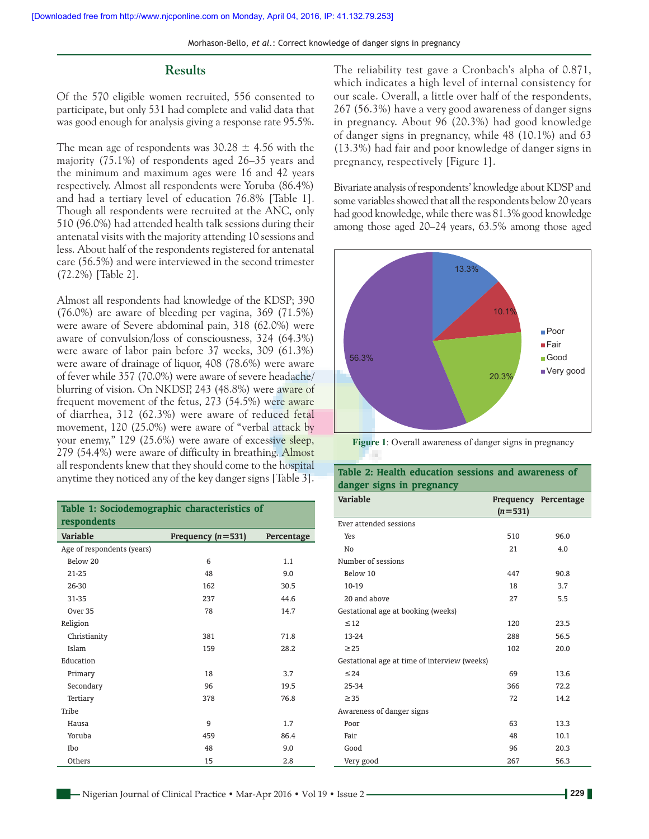#### **Results**

Of the 570 eligible women recruited, 556 consented to participate, but only 531 had complete and valid data that was good enough for analysis giving a response rate 95.5%.

The mean age of respondents was  $30.28 \pm 4.56$  with the majority (75.1%) of respondents aged 26–35 years and the minimum and maximum ages were 16 and 42 years respectively. Almost all respondents were Yoruba (86.4%) and had a tertiary level of education 76.8% [Table 1]. Though all respondents were recruited at the ANC, only 510 (96.0%) had attended health talk sessions during their antenatal visits with the majority attending 10 sessions and less. About half of the respondents registered for antenatal care (56.5%) and were interviewed in the second trimester (72.2%) [Table 2].

Almost all respondents had knowledge of the KDSP; 390 (76.0%) are aware of bleeding per vagina, 369 (71.5%) were aware of Severe abdominal pain, 318 (62.0%) were aware of convulsion/loss of consciousness, 324 (64.3%) were aware of labor pain before 37 weeks, 309 (61.3%) were aware of drainage of liquor, 408 (78.6%) were aware of fever while 357 (70.0%) were aware of severe headache/ blurring of vision. On NKDSP, 243 (48.8%) were aware of frequent movement of the fetus, 273 (54.5%) were aware of diarrhea, 312 (62.3%) were aware of reduced fetal movement, 120 (25.0%) were aware of "verbal attack by your enemy," 129 (25.6%) were aware of excessive sleep, 279 (54.4%) were aware of difficulty in breathing. Almost all respondents knew that they should come to the hospital anytime they noticed any of the key danger signs [Table 3].

| Table 1: Sociodemographic characteristics of<br>respondents |                     |            |  |  |
|-------------------------------------------------------------|---------------------|------------|--|--|
| Variable                                                    | Frequency $(n=531)$ | Percentage |  |  |
| Age of respondents (years)                                  |                     |            |  |  |
| Below 20                                                    | 6                   | 1.1        |  |  |
| 21-25                                                       | 48                  | 9.0        |  |  |
| 26-30                                                       | 162                 | 30.5       |  |  |
| 31-35                                                       | 237                 | 44.6       |  |  |
| Over 35                                                     | 78                  | 14.7       |  |  |
| Religion                                                    |                     |            |  |  |
| Christianity                                                | 381                 | 71.8       |  |  |
| Islam                                                       | 159                 | 28.2       |  |  |
| Education                                                   |                     |            |  |  |
| Primary                                                     | 18                  | 3.7        |  |  |
| Secondary                                                   | 96                  | 19.5       |  |  |
| Tertiary                                                    | 378                 | 76.8       |  |  |
| Tribe                                                       |                     |            |  |  |
| Hausa                                                       | 9                   | 1.7        |  |  |
| Yoruba                                                      | 459                 | 86.4       |  |  |
| Ibo                                                         | 48                  | 9.0        |  |  |
| Others                                                      | 15                  | 2.8        |  |  |

The reliability test gave a Cronbach's alpha of 0.871, which indicates a high level of internal consistency for our scale. Overall, a little over half of the respondents, 267 (56.3%) have a very good awareness of danger signs in pregnancy. About 96 (20.3%) had good knowledge of danger signs in pregnancy, while 48 (10.1%) and 63 (13.3%) had fair and poor knowledge of danger signs in pregnancy, respectively [Figure 1].

Bivariate analysis of respondents' knowledge about KDSP and some variables showed that all the respondents below 20 years had good knowledge, while there was 81.3% good knowledge among those aged 20–24 years, 63.5% among those aged



**Figure 1**: Overall awareness of danger signs in pregnancy

| <b>Variable</b>                              | $(n=531)$ | Frequency Percentage |
|----------------------------------------------|-----------|----------------------|
| Ever attended sessions                       |           |                      |
| Yes                                          | 510       | 96.0                 |
| No                                           | 21        | 4.0                  |
| Number of sessions                           |           |                      |
| Below 10                                     | 447       | 90.8                 |
| $10-19$                                      | 18        | 3.7                  |
| 20 and above                                 | 27        | 5.5                  |
| Gestational age at booking (weeks)           |           |                      |
| $\leq$ 12                                    | 120       | 23.5                 |
| 13-24                                        | 288       | 56.5                 |
| $\geq$ 25                                    | 102       | 20.0                 |
| Gestational age at time of interview (weeks) |           |                      |
| $\leq$ 24                                    | 69        | 13.6                 |
| 25-34                                        | 366       | 72.2                 |
| $\geq$ 35                                    | 72        | 14.2                 |
| Awareness of danger signs                    |           |                      |
| Poor                                         | 63        | 13.3                 |
| Fair                                         | 48        | 10.1                 |
| Good                                         | 96        | 20.3                 |
| Very good                                    | 267       | 56.3                 |

#### **Table 2: Health education sessions and awareness of danger signs in pregnancy**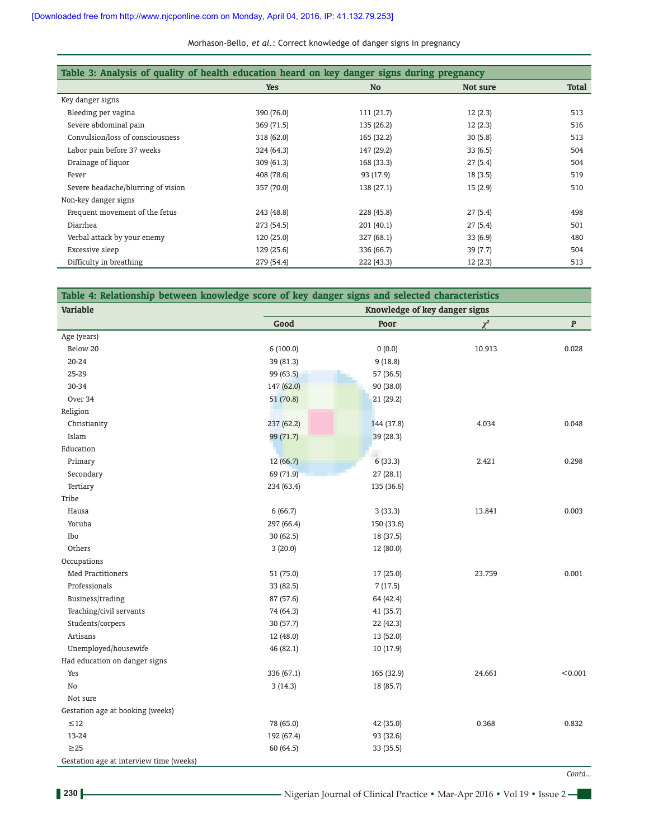Morhason‑Bello, *et al*.: Correct knowledge of danger signs in pregnancy

| Table 3: Analysis of quality of health education heard on key danger signs during pregnancy |            |            |          |              |
|---------------------------------------------------------------------------------------------|------------|------------|----------|--------------|
|                                                                                             | <b>Yes</b> | <b>No</b>  | Not sure | <b>Total</b> |
| Key danger signs                                                                            |            |            |          |              |
| Bleeding per vagina                                                                         | 390 (76.0) | 111 (21.7) | 12(2.3)  | 513          |
| Severe abdominal pain                                                                       | 369 (71.5) | 135 (26.2) | 12(2.3)  | 516          |
| Convulsion/loss of consciousness                                                            | 318 (62.0) | 165 (32.2) | 30(5.8)  | 513          |
| Labor pain before 37 weeks                                                                  | 324 (64.3) | 147 (29.2) | 33(6.5)  | 504          |
| Drainage of liquor                                                                          | 309(61.3)  | 168 (33.3) | 27(5.4)  | 504          |
| Fever                                                                                       | 408 (78.6) | 93 (17.9)  | 18(3.5)  | 519          |
| Severe headache/blurring of vision                                                          | 357 (70.0) | 138 (27.1) | 15(2.9)  | 510          |
| Non-key danger signs                                                                        |            |            |          |              |
| Frequent movement of the fetus                                                              | 243 (48.8) | 228 (45.8) | 27(5.4)  | 498          |
| Diarrhea                                                                                    | 273 (54.5) | 201 (40.1) | 27(5.4)  | 501          |
| Verbal attack by your enemy                                                                 | 120(25.0)  | 327 (68.1) | 33(6.9)  | 480          |
| Excessive sleep                                                                             | 129 (25.6) | 336 (66.7) | 39 (7.7) | 504          |
| Difficulty in breathing                                                                     | 279 (54.4) | 222 (43.3) | 12(2.3)  | 513          |

| Table 4: Relationship between knowledge score of key danger signs and selected characteristics |            |                               |          |           |  |
|------------------------------------------------------------------------------------------------|------------|-------------------------------|----------|-----------|--|
| Variable                                                                                       |            | Knowledge of key danger signs |          |           |  |
|                                                                                                | Good       | Poor                          | $\chi^2$ | $\pmb{P}$ |  |
| Age (years)                                                                                    |            |                               |          |           |  |
| Below 20                                                                                       | 6(100.0)   | (0.0)                         | 10.913   | 0.028     |  |
| 20-24                                                                                          | 39 (81.3)  | 9(18.8)                       |          |           |  |
| 25-29                                                                                          | 99 (63.5)  | 57 (36.5)                     |          |           |  |
| 30-34                                                                                          | 147 (62.0) | 90 (38.0)                     |          |           |  |
| Over 34                                                                                        | 51 (70.8)  | 21 (29.2)                     |          |           |  |
| Religion                                                                                       |            |                               |          |           |  |
| Christianity                                                                                   | 237 (62.2) | 144 (37.8)                    | 4.034    | 0.048     |  |
| Islam                                                                                          | 99 (71.7)  | 39(28.3)                      |          |           |  |
| Education                                                                                      |            |                               |          |           |  |
| Primary                                                                                        | 12(66.7)   | 6(33.3)                       | 2.421    | 0.298     |  |
| Secondary                                                                                      | 69 (71.9)  | 27(28.1)                      |          |           |  |
| Tertiary                                                                                       | 234 (63.4) | 135 (36.6)                    |          |           |  |
| Tribe                                                                                          |            |                               |          |           |  |
| Hausa                                                                                          | 6(66.7)    | 3(33.3)                       | 13.841   | 0.003     |  |
| Yoruba                                                                                         | 297 (66.4) | 150 (33.6)                    |          |           |  |
| Ibo                                                                                            | 30 (62.5)  | 18 (37.5)                     |          |           |  |
| Others                                                                                         | 3(20.0)    | 12 (80.0)                     |          |           |  |
| Occupations                                                                                    |            |                               |          |           |  |
| <b>Med Practitioners</b>                                                                       | 51 (75.0)  | 17(25.0)                      | 23.759   | 0.001     |  |
| Professionals                                                                                  | 33 (82.5)  | 7(17.5)                       |          |           |  |
| Business/trading                                                                               | 87 (57.6)  | 64 (42.4)                     |          |           |  |
| Teaching/civil servants                                                                        | 74 (64.3)  | 41 (35.7)                     |          |           |  |
| Students/corpers                                                                               | 30 (57.7)  | 22 (42.3)                     |          |           |  |
| Artisans                                                                                       | 12 (48.0)  | 13 (52.0)                     |          |           |  |
| Unemployed/housewife                                                                           | 46 (82.1)  | 10 (17.9)                     |          |           |  |
| Had education on danger signs                                                                  |            |                               |          |           |  |
| Yes                                                                                            | 336 (67.1) | 165 (32.9)                    | 24.661   | < 0.001   |  |
| No                                                                                             | 3(14.3)    | 18 (85.7)                     |          |           |  |
| Not sure                                                                                       |            |                               |          |           |  |
| Gestation age at booking (weeks)                                                               |            |                               |          |           |  |
| $\leq 12$                                                                                      | 78 (65.0)  | 42 (35.0)                     | 0.368    | 0.832     |  |
| 13-24                                                                                          | 192 (67.4) | 93 (32.6)                     |          |           |  |
| $\geq$ 25                                                                                      | 60 (64.5)  | 33 (35.5)                     |          |           |  |
| Gestation age at interview time (weeks)                                                        |            |                               |          |           |  |
|                                                                                                |            |                               |          | Contd     |  |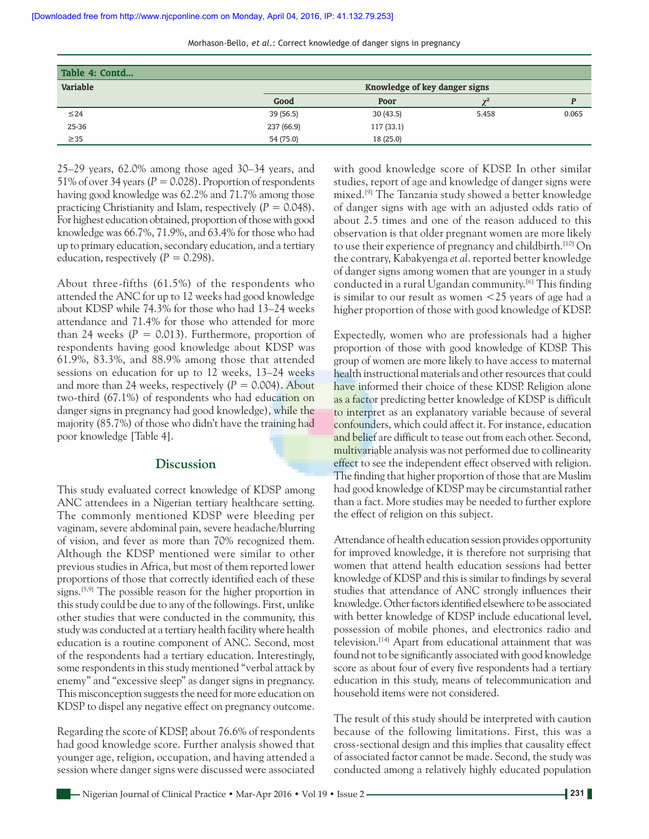| Table 4: Contd |            |                               |       |       |  |
|----------------|------------|-------------------------------|-------|-------|--|
| Variable       |            | Knowledge of key danger signs |       |       |  |
|                | Good       | Poor                          |       |       |  |
| $\leq$ 24      | 39(56.5)   | 30(43.5)                      | 5.458 | 0.065 |  |
| 25-36          | 237 (66.9) | 117(33.1)                     |       |       |  |
| $\geq$ 35      | 54 (75.0)  | 18(25.0)                      |       |       |  |

25–29 years, 62.0% among those aged 30–34 years, and 51% of over 34 years  $(P = 0.028)$ . Proportion of respondents having good knowledge was 62.2% and 71.7% among those practicing Christianity and Islam, respectively  $(P = 0.048)$ . For highest education obtained, proportion of those with good knowledge was 66.7%, 71.9%, and 63.4% for those who had up to primary education, secondary education, and a tertiary education, respectively  $(P = 0.298)$ .

About three-fifths (61.5%) of the respondents who attended the ANC for up to 12 weeks had good knowledge about KDSP while 74.3% for those who had 13–24 weeks attendance and 71.4% for those who attended for more than 24 weeks  $(P = 0.013)$ . Furthermore, proportion of respondents having good knowledge about KDSP was 61.9%, 83.3%, and 88.9% among those that attended sessions on education for up to 12 weeks, 13–24 weeks and more than 24 weeks, respectively  $(P = 0.004)$ . About two‑third (67.1%) of respondents who had education on danger signs in pregnancy had good knowledge), while the majority (85.7%) of those who didn't have the training had poor knowledge [Table 4].

#### **Discussion**

This study evaluated correct knowledge of KDSP among ANC attendees in a Nigerian tertiary healthcare setting. The commonly mentioned KDSP were bleeding per vaginam, severe abdominal pain, severe headache/blurring of vision, and fever as more than 70% recognized them. Although the KDSP mentioned were similar to other previous studies in Africa, but most of them reported lower proportions of those that correctly identified each of these signs.<sup>[5,9]</sup> The possible reason for the higher proportion in this study could be due to any of the followings. First, unlike other studies that were conducted in the community, this study was conducted at a tertiary health facility where health education is a routine component of ANC. Second, most of the respondents had a tertiary education. Interestingly, some respondents in this study mentioned "verbal attack by enemy" and "excessive sleep" as danger signs in pregnancy. This misconception suggests the need for more education on KDSP to dispel any negative effect on pregnancy outcome.

Regarding the score of KDSP, about 76.6% of respondents had good knowledge score. Further analysis showed that younger age, religion, occupation, and having attended a session where danger signs were discussed were associated with good knowledge score of KDSP. In other similar studies, report of age and knowledge of danger signs were mixed.[9] The Tanzania study showed a better knowledge of danger signs with age with an adjusted odds ratio of about 2.5 times and one of the reason adduced to this observation is that older pregnant women are more likely to use their experience of pregnancy and childbirth.<sup>[10]</sup> On the contrary, Kabakyenga *et al*. reported better knowledge of danger signs among women that are younger in a study conducted in a rural Ugandan community.[6] This finding is similar to our result as women <25 years of age had a higher proportion of those with good knowledge of KDSP.

Expectedly, women who are professionals had a higher proportion of those with good knowledge of KDSP. This group of women are more likely to have access to maternal health instructional materials and other resources that could have informed their choice of these KDSP. Religion alone as a factor predicting better knowledge of KDSP is difficult to interpret as an explanatory variable because of several confounders, which could affect it. For instance, education and belief are difficult to tease out from each other. Second, multivariable analysis was not performed due to collinearity effect to see the independent effect observed with religion. The finding that higher proportion of those that are Muslim had good knowledge of KDSP may be circumstantial rather than a fact. More studies may be needed to further explore the effect of religion on this subject.

Attendance of health education session provides opportunity for improved knowledge, it is therefore not surprising that women that attend health education sessions had better knowledge of KDSP and this is similar to findings by several studies that attendance of ANC strongly influences their knowledge. Other factors identified elsewhere to be associated with better knowledge of KDSP include educational level, possession of mobile phones, and electronics radio and television.[14] Apart from educational attainment that was found not to be significantly associated with good knowledge score as about four of every five respondents had a tertiary education in this study, means of telecommunication and household items were not considered.

The result of this study should be interpreted with caution because of the following limitations. First, this was a cross‑sectional design and this implies that causality effect of associated factor cannot be made. Second, the study was conducted among a relatively highly educated population